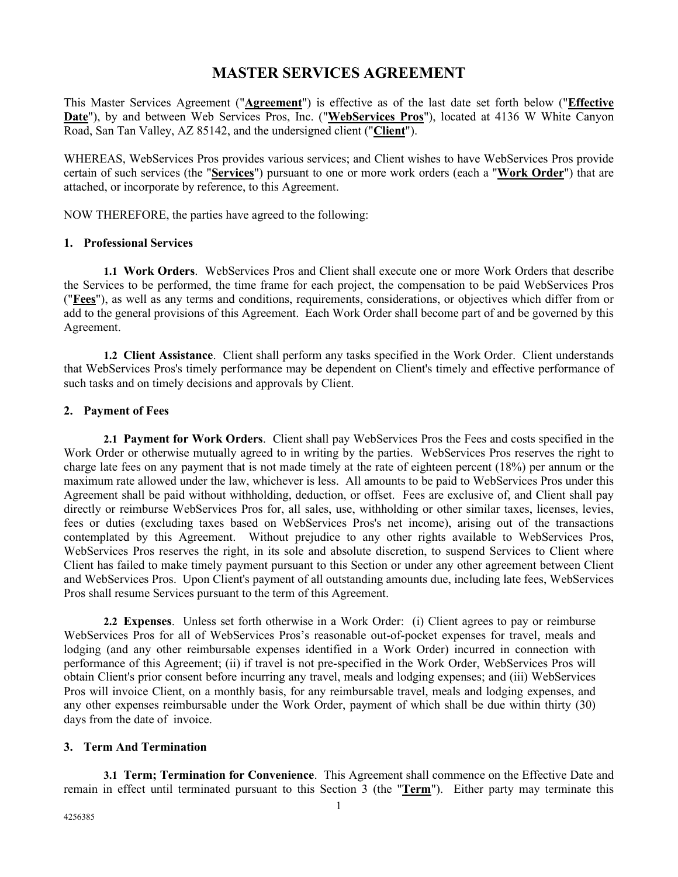# **MASTER SERVICES AGREEMENT**

This Master Services Agreement ("**Agreement**") is effective as of the last date set forth below ("**Effective Date**"), by and between Web Services Pros, Inc. ("**WebServices Pros**"), located at 4136 W White Canyon Road, San Tan Valley, AZ 85142, and the undersigned client ("**Client**").

WHEREAS, WebServices Pros provides various services; and Client wishes to have WebServices Pros provide certain of such services (the "**Services**") pursuant to one or more work orders (each a "**Work Order**") that are attached, or incorporate by reference, to this Agreement.

NOW THEREFORE, the parties have agreed to the following:

#### **1. Professional Services**

**1.1 Work Orders**. WebServices Pros and Client shall execute one or more Work Orders that describe the Services to be performed, the time frame for each project, the compensation to be paid WebServices Pros ("**Fees**"), as well as any terms and conditions, requirements, considerations, or objectives which differ from or add to the general provisions of this Agreement. Each Work Order shall become part of and be governed by this Agreement.

**1.2 Client Assistance**. Client shall perform any tasks specified in the Work Order. Client understands that WebServices Pros's timely performance may be dependent on Client's timely and effective performance of such tasks and on timely decisions and approvals by Client.

## **2. Payment of Fees**

**2.1 Payment for Work Orders**. Client shall pay WebServices Pros the Fees and costs specified in the Work Order or otherwise mutually agreed to in writing by the parties. WebServices Pros reserves the right to charge late fees on any payment that is not made timely at the rate of eighteen percent (18%) per annum or the maximum rate allowed under the law, whichever is less. All amounts to be paid to WebServices Pros under this Agreement shall be paid without withholding, deduction, or offset. Fees are exclusive of, and Client shall pay directly or reimburse WebServices Pros for, all sales, use, withholding or other similar taxes, licenses, levies, fees or duties (excluding taxes based on WebServices Pros's net income), arising out of the transactions contemplated by this Agreement. Without prejudice to any other rights available to WebServices Pros, WebServices Pros reserves the right, in its sole and absolute discretion, to suspend Services to Client where Client has failed to make timely payment pursuant to this Section or under any other agreement between Client and WebServices Pros. Upon Client's payment of all outstanding amounts due, including late fees, WebServices Pros shall resume Services pursuant to the term of this Agreement.

**2.2 Expenses**. Unless set forth otherwise in a Work Order: (i) Client agrees to pay or reimburse WebServices Pros for all of WebServices Pros's reasonable out-of-pocket expenses for travel, meals and lodging (and any other reimbursable expenses identified in a Work Order) incurred in connection with performance of this Agreement; (ii) if travel is not pre-specified in the Work Order, WebServices Pros will obtain Client's prior consent before incurring any travel, meals and lodging expenses; and (iii) WebServices Pros will invoice Client, on a monthly basis, for any reimbursable travel, meals and lodging expenses, and any other expenses reimbursable under the Work Order, payment of which shall be due within thirty (30) days from the date of invoice.

## **3. Term And Termination**

**3.1 Term; Termination for Convenience**. This Agreement shall commence on the Effective Date and remain in effect until terminated pursuant to this Section 3 (the "**Term**"). Either party may terminate this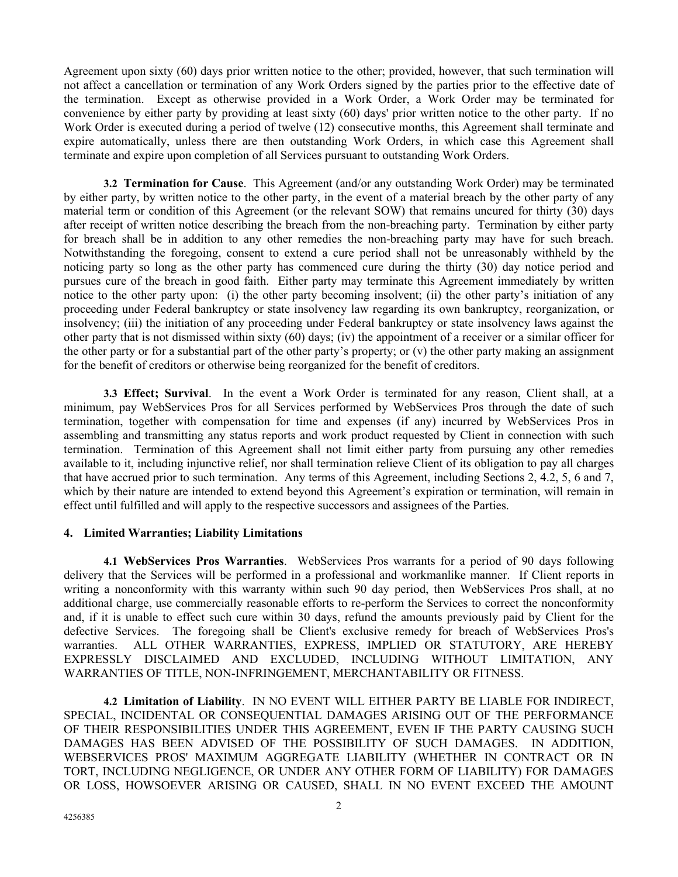Agreement upon sixty (60) days prior written notice to the other; provided, however, that such termination will not affect a cancellation or termination of any Work Orders signed by the parties prior to the effective date of the termination. Except as otherwise provided in a Work Order, a Work Order may be terminated for convenience by either party by providing at least sixty (60) days' prior written notice to the other party. If no Work Order is executed during a period of twelve (12) consecutive months, this Agreement shall terminate and expire automatically, unless there are then outstanding Work Orders, in which case this Agreement shall terminate and expire upon completion of all Services pursuant to outstanding Work Orders.

**3.2 Termination for Cause**. This Agreement (and/or any outstanding Work Order) may be terminated by either party, by written notice to the other party, in the event of a material breach by the other party of any material term or condition of this Agreement (or the relevant SOW) that remains uncured for thirty (30) days after receipt of written notice describing the breach from the non-breaching party. Termination by either party for breach shall be in addition to any other remedies the non-breaching party may have for such breach. Notwithstanding the foregoing, consent to extend a cure period shall not be unreasonably withheld by the noticing party so long as the other party has commenced cure during the thirty (30) day notice period and pursues cure of the breach in good faith. Either party may terminate this Agreement immediately by written notice to the other party upon: (i) the other party becoming insolvent; (ii) the other party's initiation of any proceeding under Federal bankruptcy or state insolvency law regarding its own bankruptcy, reorganization, or insolvency; (iii) the initiation of any proceeding under Federal bankruptcy or state insolvency laws against the other party that is not dismissed within sixty (60) days; (iv) the appointment of a receiver or a similar officer for the other party or for a substantial part of the other party's property; or (v) the other party making an assignment for the benefit of creditors or otherwise being reorganized for the benefit of creditors.

**3.3 Effect; Survival**. In the event a Work Order is terminated for any reason, Client shall, at a minimum, pay WebServices Pros for all Services performed by WebServices Pros through the date of such termination, together with compensation for time and expenses (if any) incurred by WebServices Pros in assembling and transmitting any status reports and work product requested by Client in connection with such termination. Termination of this Agreement shall not limit either party from pursuing any other remedies available to it, including injunctive relief, nor shall termination relieve Client of its obligation to pay all charges that have accrued prior to such termination. Any terms of this Agreement, including Sections 2, 4.2, 5, 6 and 7, which by their nature are intended to extend beyond this Agreement's expiration or termination, will remain in effect until fulfilled and will apply to the respective successors and assignees of the Parties.

## **4. Limited Warranties; Liability Limitations**

**4.1 WebServices Pros Warranties**. WebServices Pros warrants for a period of 90 days following delivery that the Services will be performed in a professional and workmanlike manner. If Client reports in writing a nonconformity with this warranty within such 90 day period, then WebServices Pros shall, at no additional charge, use commercially reasonable efforts to re-perform the Services to correct the nonconformity and, if it is unable to effect such cure within 30 days, refund the amounts previously paid by Client for the defective Services. The foregoing shall be Client's exclusive remedy for breach of WebServices Pros's warranties. ALL OTHER WARRANTIES, EXPRESS, IMPLIED OR STATUTORY, ARE HEREBY EXPRESSLY DISCLAIMED AND EXCLUDED, INCLUDING WITHOUT LIMITATION, ANY WARRANTIES OF TITLE, NON-INFRINGEMENT, MERCHANTABILITY OR FITNESS.

**4.2 Limitation of Liability**. IN NO EVENT WILL EITHER PARTY BE LIABLE FOR INDIRECT, SPECIAL, INCIDENTAL OR CONSEQUENTIAL DAMAGES ARISING OUT OF THE PERFORMANCE OF THEIR RESPONSIBILITIES UNDER THIS AGREEMENT, EVEN IF THE PARTY CAUSING SUCH DAMAGES HAS BEEN ADVISED OF THE POSSIBILITY OF SUCH DAMAGES. IN ADDITION, WEBSERVICES PROS' MAXIMUM AGGREGATE LIABILITY (WHETHER IN CONTRACT OR IN TORT, INCLUDING NEGLIGENCE, OR UNDER ANY OTHER FORM OF LIABILITY) FOR DAMAGES OR LOSS, HOWSOEVER ARISING OR CAUSED, SHALL IN NO EVENT EXCEED THE AMOUNT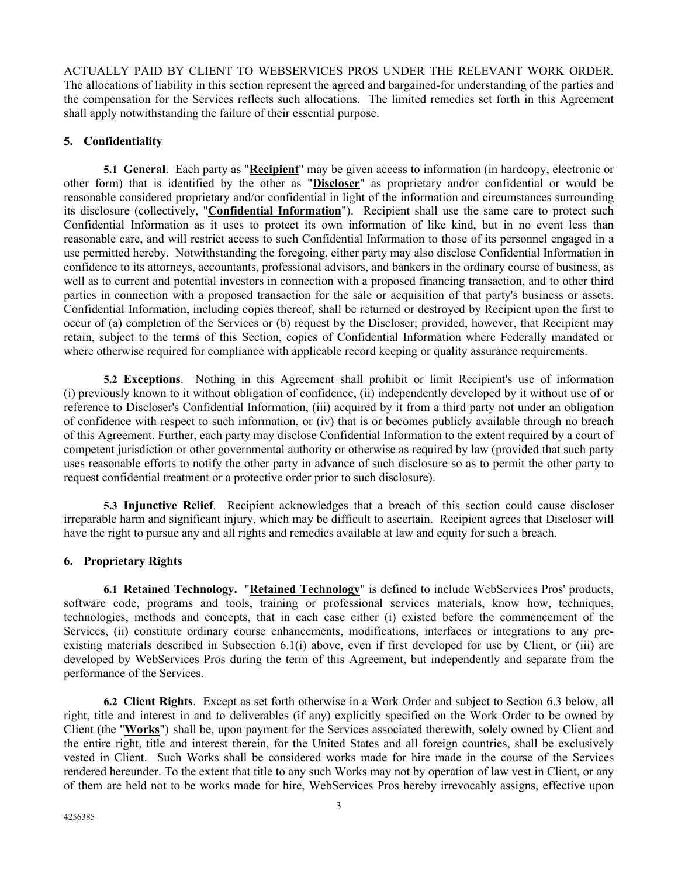ACTUALLY PAID BY CLIENT TO WEBSERVICES PROS UNDER THE RELEVANT WORK ORDER. The allocations of liability in this section represent the agreed and bargained-for understanding of the parties and the compensation for the Services reflects such allocations. The limited remedies set forth in this Agreement shall apply notwithstanding the failure of their essential purpose.

# **5. Confidentiality**

**5.1 General**. Each party as "**Recipient**" may be given access to information (in hardcopy, electronic or other form) that is identified by the other as "**Discloser**" as proprietary and/or confidential or would be reasonable considered proprietary and/or confidential in light of the information and circumstances surrounding its disclosure (collectively, "**Confidential Information**"). Recipient shall use the same care to protect such Confidential Information as it uses to protect its own information of like kind, but in no event less than reasonable care, and will restrict access to such Confidential Information to those of its personnel engaged in a use permitted hereby. Notwithstanding the foregoing, either party may also disclose Confidential Information in confidence to its attorneys, accountants, professional advisors, and bankers in the ordinary course of business, as well as to current and potential investors in connection with a proposed financing transaction, and to other third parties in connection with a proposed transaction for the sale or acquisition of that party's business or assets. Confidential Information, including copies thereof, shall be returned or destroyed by Recipient upon the first to occur of (a) completion of the Services or (b) request by the Discloser; provided, however, that Recipient may retain, subject to the terms of this Section, copies of Confidential Information where Federally mandated or where otherwise required for compliance with applicable record keeping or quality assurance requirements.

**5.2 Exceptions**. Nothing in this Agreement shall prohibit or limit Recipient's use of information (i) previously known to it without obligation of confidence, (ii) independently developed by it without use of or reference to Discloser's Confidential Information, (iii) acquired by it from a third party not under an obligation of confidence with respect to such information, or (iv) that is or becomes publicly available through no breach of this Agreement. Further, each party may disclose Confidential Information to the extent required by a court of competent jurisdiction or other governmental authority or otherwise as required by law (provided that such party uses reasonable efforts to notify the other party in advance of such disclosure so as to permit the other party to request confidential treatment or a protective order prior to such disclosure).

**5.3 Injunctive Relief**. Recipient acknowledges that a breach of this section could cause discloser irreparable harm and significant injury, which may be difficult to ascertain. Recipient agrees that Discloser will have the right to pursue any and all rights and remedies available at law and equity for such a breach.

## **6. Proprietary Rights**

**6.1 Retained Technology.** "**Retained Technology**" is defined to include WebServices Pros' products, software code, programs and tools, training or professional services materials, know how, techniques, technologies, methods and concepts, that in each case either (i) existed before the commencement of the Services, (ii) constitute ordinary course enhancements, modifications, interfaces or integrations to any preexisting materials described in Subsection 6.1(i) above, even if first developed for use by Client, or (iii) are developed by WebServices Pros during the term of this Agreement, but independently and separate from the performance of the Services.

**6.2 Client Rights**. Except as set forth otherwise in a Work Order and subject to Section 6.3 below, all right, title and interest in and to deliverables (if any) explicitly specified on the Work Order to be owned by Client (the "**Works**") shall be, upon payment for the Services associated therewith, solely owned by Client and the entire right, title and interest therein, for the United States and all foreign countries, shall be exclusively vested in Client. Such Works shall be considered works made for hire made in the course of the Services rendered hereunder. To the extent that title to any such Works may not by operation of law vest in Client, or any of them are held not to be works made for hire, WebServices Pros hereby irrevocably assigns, effective upon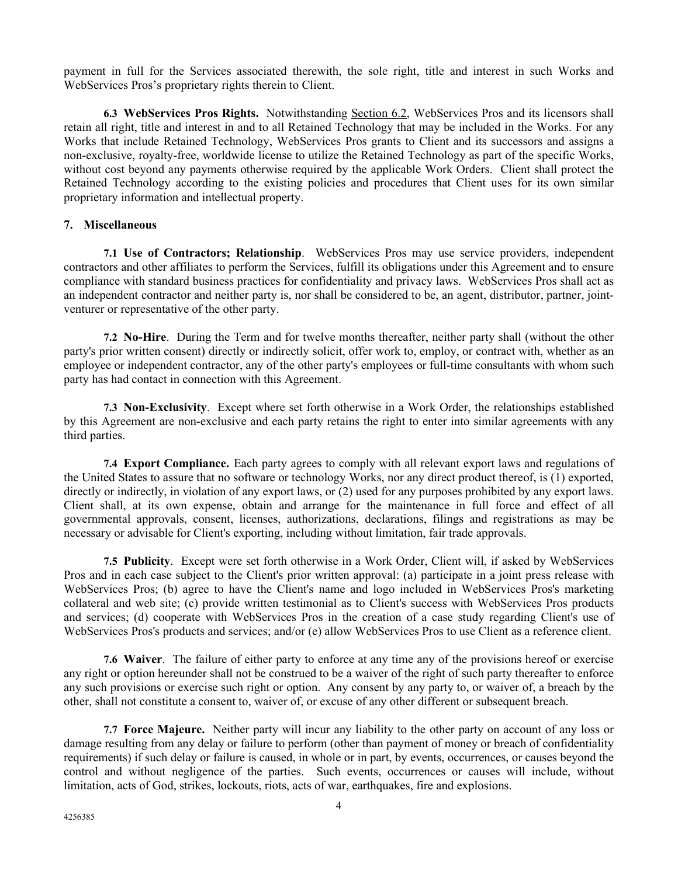payment in full for the Services associated therewith, the sole right, title and interest in such Works and WebServices Pros's proprietary rights therein to Client.

**6.3 WebServices Pros Rights.** Notwithstanding Section 6.2, WebServices Pros and its licensors shall retain all right, title and interest in and to all Retained Technology that may be included in the Works. For any Works that include Retained Technology, WebServices Pros grants to Client and its successors and assigns a non-exclusive, royalty-free, worldwide license to utilize the Retained Technology as part of the specific Works, without cost beyond any payments otherwise required by the applicable Work Orders. Client shall protect the Retained Technology according to the existing policies and procedures that Client uses for its own similar proprietary information and intellectual property.

# **7. Miscellaneous**

**7.1 Use of Contractors; Relationship**. WebServices Pros may use service providers, independent contractors and other affiliates to perform the Services, fulfill its obligations under this Agreement and to ensure compliance with standard business practices for confidentiality and privacy laws. WebServices Pros shall act as an independent contractor and neither party is, nor shall be considered to be, an agent, distributor, partner, jointventurer or representative of the other party.

**7.2 No-Hire**. During the Term and for twelve months thereafter, neither party shall (without the other party's prior written consent) directly or indirectly solicit, offer work to, employ, or contract with, whether as an employee or independent contractor, any of the other party's employees or full-time consultants with whom such party has had contact in connection with this Agreement.

**7.3 Non-Exclusivity**. Except where set forth otherwise in a Work Order, the relationships established by this Agreement are non-exclusive and each party retains the right to enter into similar agreements with any third parties.

**7.4 Export Compliance.** Each party agrees to comply with all relevant export laws and regulations of the United States to assure that no software or technology Works, nor any direct product thereof, is (1) exported, directly or indirectly, in violation of any export laws, or (2) used for any purposes prohibited by any export laws. Client shall, at its own expense, obtain and arrange for the maintenance in full force and effect of all governmental approvals, consent, licenses, authorizations, declarations, filings and registrations as may be necessary or advisable for Client's exporting, including without limitation, fair trade approvals.

**7.5 Publicity**. Except were set forth otherwise in a Work Order, Client will, if asked by WebServices Pros and in each case subject to the Client's prior written approval: (a) participate in a joint press release with WebServices Pros; (b) agree to have the Client's name and logo included in WebServices Pros's marketing collateral and web site; (c) provide written testimonial as to Client's success with WebServices Pros products and services; (d) cooperate with WebServices Pros in the creation of a case study regarding Client's use of WebServices Pros's products and services; and/or (e) allow WebServices Pros to use Client as a reference client.

**7.6 Waiver**. The failure of either party to enforce at any time any of the provisions hereof or exercise any right or option hereunder shall not be construed to be a waiver of the right of such party thereafter to enforce any such provisions or exercise such right or option. Any consent by any party to, or waiver of, a breach by the other, shall not constitute a consent to, waiver of, or excuse of any other different or subsequent breach.

**7.7 Force Majeure.** Neither party will incur any liability to the other party on account of any loss or damage resulting from any delay or failure to perform (other than payment of money or breach of confidentiality requirements) if such delay or failure is caused, in whole or in part, by events, occurrences, or causes beyond the control and without negligence of the parties. Such events, occurrences or causes will include, without limitation, acts of God, strikes, lockouts, riots, acts of war, earthquakes, fire and explosions.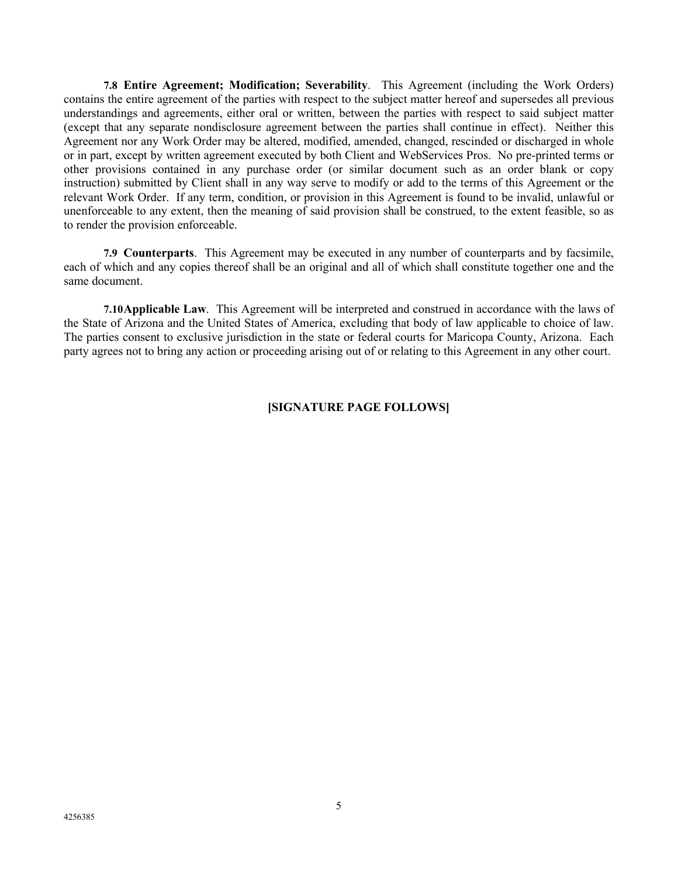**7.8 Entire Agreement; Modification; Severability**. This Agreement (including the Work Orders) contains the entire agreement of the parties with respect to the subject matter hereof and supersedes all previous understandings and agreements, either oral or written, between the parties with respect to said subject matter (except that any separate nondisclosure agreement between the parties shall continue in effect). Neither this Agreement nor any Work Order may be altered, modified, amended, changed, rescinded or discharged in whole or in part, except by written agreement executed by both Client and WebServices Pros. No pre-printed terms or other provisions contained in any purchase order (or similar document such as an order blank or copy instruction) submitted by Client shall in any way serve to modify or add to the terms of this Agreement or the relevant Work Order. If any term, condition, or provision in this Agreement is found to be invalid, unlawful or unenforceable to any extent, then the meaning of said provision shall be construed, to the extent feasible, so as to render the provision enforceable.

**7.9 Counterparts**. This Agreement may be executed in any number of counterparts and by facsimile, each of which and any copies thereof shall be an original and all of which shall constitute together one and the same document.

**7.10Applicable Law**. This Agreement will be interpreted and construed in accordance with the laws of the State of Arizona and the United States of America, excluding that body of law applicable to choice of law. The parties consent to exclusive jurisdiction in the state or federal courts for Maricopa County, Arizona. Each party agrees not to bring any action or proceeding arising out of or relating to this Agreement in any other court.

# **[SIGNATURE PAGE FOLLOWS]**